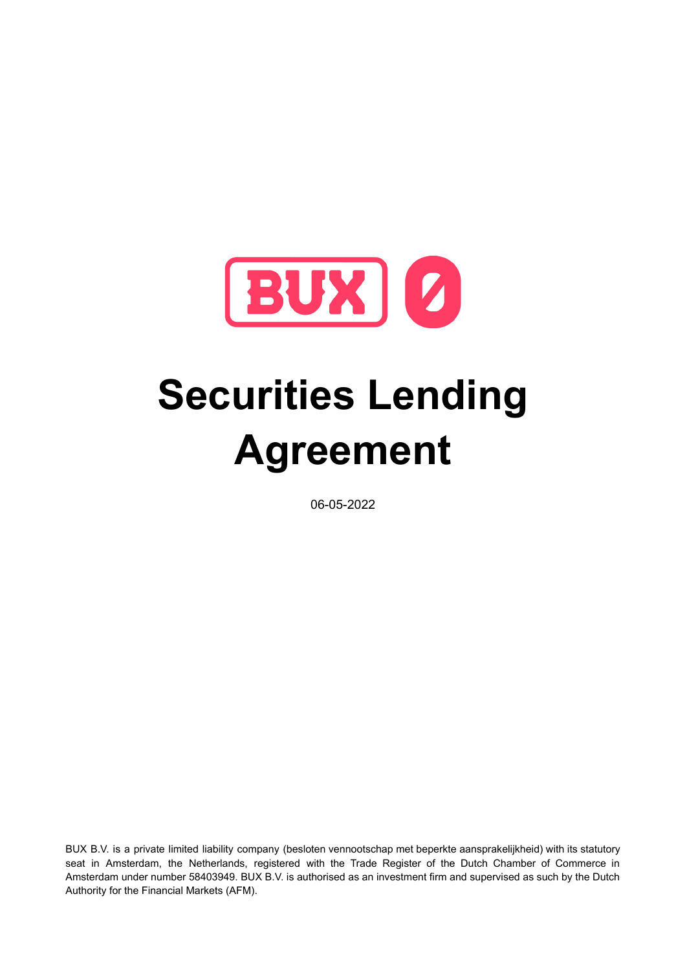

# **Securities Lending Agreement**

06-05-2022

BUX B.V. is a private limited liability company (besloten vennootschap met beperkte aansprakelijkheid) with its statutory seat in Amsterdam, the Netherlands, registered with the Trade Register of the Dutch Chamber of Commerce in Amsterdam under number 58403949. BUX B.V. is authorised as an investment firm and supervised as such by the Dutch Authority for the Financial Markets (AFM).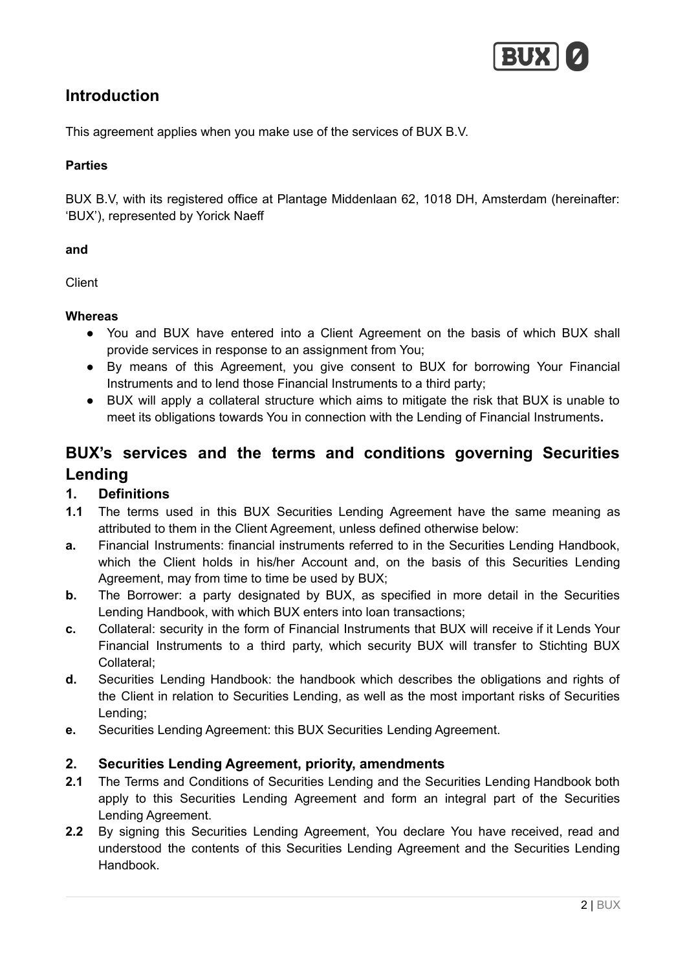

# **Introduction**

This agreement applies when you make use of the services of BUX B.V.

## **Parties**

BUX B.V, with its registered office at Plantage Middenlaan 62, 1018 DH, Amsterdam (hereinafter: 'BUX'), represented by Yorick Naeff

#### **and**

Client

#### **Whereas**

- You and BUX have entered into a Client Agreement on the basis of which BUX shall provide services in response to an assignment from You;
- By means of this Agreement, you give consent to BUX for borrowing Your Financial Instruments and to lend those Financial Instruments to a third party;
- BUX will apply a collateral structure which aims to mitigate the risk that BUX is unable to meet its obligations towards You in connection with the Lending of Financial Instruments**.**

# **BUX's services and the terms and conditions governing Securities Lending**

## **1. Definitions**

- **1.1** The terms used in this BUX Securities Lending Agreement have the same meaning as attributed to them in the Client Agreement, unless defined otherwise below:
- **a.** Financial Instruments: financial instruments referred to in the Securities Lending Handbook, which the Client holds in his/her Account and, on the basis of this Securities Lending Agreement, may from time to time be used by BUX;
- **b.** The Borrower: a party designated by BUX, as specified in more detail in the Securities Lending Handbook, with which BUX enters into loan transactions;
- **c.** Collateral: security in the form of Financial Instruments that BUX will receive if it Lends Your Financial Instruments to a third party, which security BUX will transfer to Stichting BUX Collateral;
- **d.** Securities Lending Handbook: the handbook which describes the obligations and rights of the Client in relation to Securities Lending, as well as the most important risks of Securities Lending;
- **e.** Securities Lending Agreement: this BUX Securities Lending Agreement.

#### **2. Securities Lending Agreement, priority, amendments**

- **2.1** The Terms and Conditions of Securities Lending and the Securities Lending Handbook both apply to this Securities Lending Agreement and form an integral part of the Securities Lending Agreement.
- **2.2** By signing this Securities Lending Agreement, You declare You have received, read and understood the contents of this Securities Lending Agreement and the Securities Lending Handbook.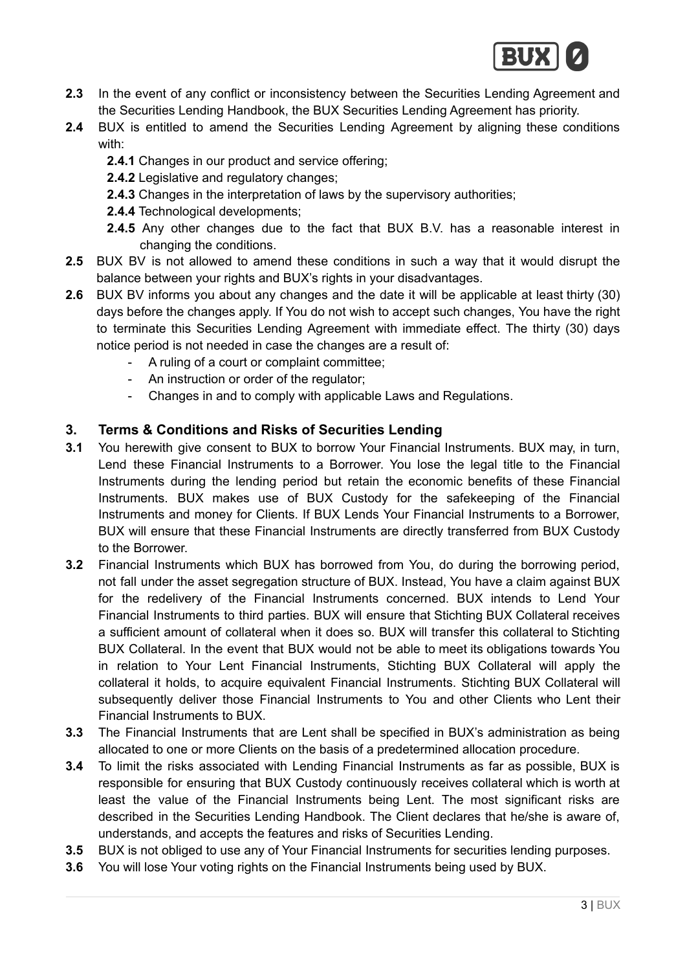

- **2.3** In the event of any conflict or inconsistency between the Securities Lending Agreement and the Securities Lending Handbook, the BUX Securities Lending Agreement has priority.
- **2.4** BUX is entitled to amend the Securities Lending Agreement by aligning these conditions with:
	- **2.4.1** Changes in our product and service offering;
	- **2.4.2** Legislative and regulatory changes;
	- **2.4.3** Changes in the interpretation of laws by the supervisory authorities;
	- **2.4.4** Technological developments;
	- **2.4.5** Any other changes due to the fact that BUX B.V. has a reasonable interest in changing the conditions.
- **2.5** BUX BV is not allowed to amend these conditions in such a way that it would disrupt the balance between your rights and BUX's rights in your disadvantages.
- **2.6** BUX BV informs you about any changes and the date it will be applicable at least thirty (30) days before the changes apply. If You do not wish to accept such changes, You have the right to terminate this Securities Lending Agreement with immediate effect. The thirty (30) days notice period is not needed in case the changes are a result of:
	- A ruling of a court or complaint committee;
	- An instruction or order of the regulator;
	- Changes in and to comply with applicable Laws and Regulations.

## **3. Terms & Conditions and Risks of Securities Lending**

- **3.1** You herewith give consent to BUX to borrow Your Financial Instruments. BUX may, in turn, Lend these Financial Instruments to a Borrower. You lose the legal title to the Financial Instruments during the lending period but retain the economic benefits of these Financial Instruments. BUX makes use of BUX Custody for the safekeeping of the Financial Instruments and money for Clients. If BUX Lends Your Financial Instruments to a Borrower, BUX will ensure that these Financial Instruments are directly transferred from BUX Custody to the Borrower.
- **3.2** Financial Instruments which BUX has borrowed from You, do during the borrowing period, not fall under the asset segregation structure of BUX. Instead, You have a claim against BUX for the redelivery of the Financial Instruments concerned. BUX intends to Lend Your Financial Instruments to third parties. BUX will ensure that Stichting BUX Collateral receives a sufficient amount of collateral when it does so. BUX will transfer this collateral to Stichting BUX Collateral. In the event that BUX would not be able to meet its obligations towards You in relation to Your Lent Financial Instruments, Stichting BUX Collateral will apply the collateral it holds, to acquire equivalent Financial Instruments. Stichting BUX Collateral will subsequently deliver those Financial Instruments to You and other Clients who Lent their Financial Instruments to BUX.
- **3.3** The Financial Instruments that are Lent shall be specified in BUX's administration as being allocated to one or more Clients on the basis of a predetermined allocation procedure.
- **3.4** To limit the risks associated with Lending Financial Instruments as far as possible, BUX is responsible for ensuring that BUX Custody continuously receives collateral which is worth at least the value of the Financial Instruments being Lent. The most significant risks are described in the Securities Lending Handbook. The Client declares that he/she is aware of, understands, and accepts the features and risks of Securities Lending.
- **3.5** BUX is not obliged to use any of Your Financial Instruments for securities lending purposes.
- **3.6** You will lose Your voting rights on the Financial Instruments being used by BUX.